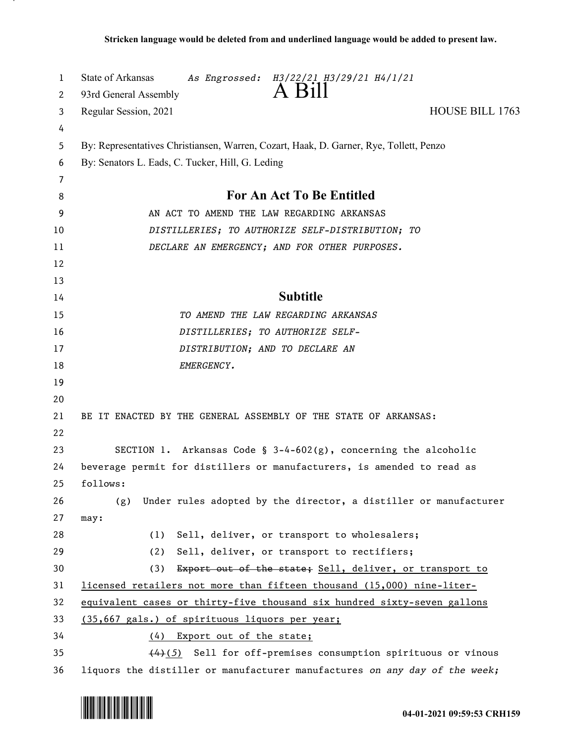| 1      | State of Arkansas<br>As Engrossed: H3/22/21 H3/29/21 H4/1/21<br>$A$ Bill               |
|--------|----------------------------------------------------------------------------------------|
| 2      | 93rd General Assembly                                                                  |
| 3      | <b>HOUSE BILL 1763</b><br>Regular Session, 2021                                        |
| 4      |                                                                                        |
| 5      | By: Representatives Christiansen, Warren, Cozart, Haak, D. Garner, Rye, Tollett, Penzo |
| 6      | By: Senators L. Eads, C. Tucker, Hill, G. Leding                                       |
| 7<br>8 | For An Act To Be Entitled                                                              |
| 9      | AN ACT TO AMEND THE LAW REGARDING ARKANSAS                                             |
| 10     | DISTILLERIES; TO AUTHORIZE SELF-DISTRIBUTION; TO                                       |
| 11     | DECLARE AN EMERGENCY; AND FOR OTHER PURPOSES.                                          |
| 12     |                                                                                        |
| 13     |                                                                                        |
| 14     | <b>Subtitle</b>                                                                        |
| 15     | TO AMEND THE LAW REGARDING ARKANSAS                                                    |
| 16     | DISTILLERIES; TO AUTHORIZE SELF-                                                       |
| 17     | DISTRIBUTION; AND TO DECLARE AN                                                        |
| 18     | EMERGENCY.                                                                             |
| 19     |                                                                                        |
| 20     |                                                                                        |
| 21     | BE IT ENACTED BY THE GENERAL ASSEMBLY OF THE STATE OF ARKANSAS:                        |
| 22     |                                                                                        |
| 23     | SECTION 1. Arkansas Code § 3-4-602(g), concerning the alcoholic                        |
| 24     | beverage permit for distillers or manufacturers, is amended to read as                 |
| 25     | follows:                                                                               |
| 26     | Under rules adopted by the director, a distiller or manufacturer<br>(g)                |
| 27     | may:                                                                                   |
| 28     | Sell, deliver, or transport to wholesalers;<br>(1)                                     |
| 29     | Sell, deliver, or transport to rectifiers;<br>(2)                                      |
| 30     | (3)<br>Export out of the state; Sell, deliver, or transport to                         |
| 31     | licensed retailers not more than fifteen thousand (15,000) nine-liter-                 |
| 32     | equivalent cases or thirty-five thousand six hundred sixty-seven gallons               |
| 33     | (35,667 gals.) of spirituous liquors per year;                                         |
| 34     | (4) Export out of the state;                                                           |
| 35     | $(4)(5)$ Sell for off-premises consumption spirituous or vinous                        |
| 36     | liquors the distiller or manufacturer manufactures on any day of the week;             |